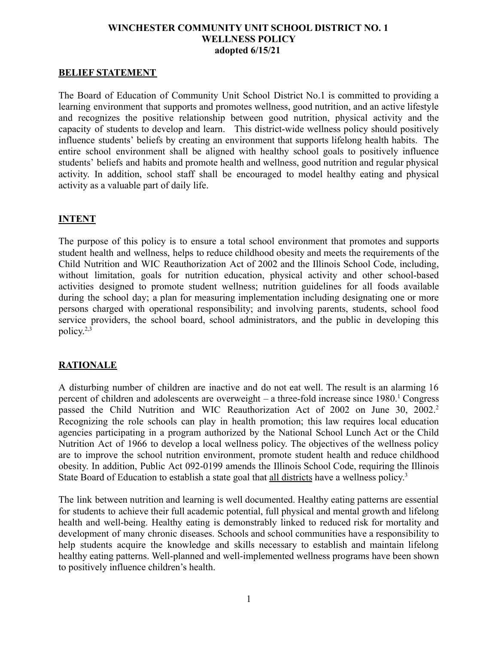#### **WINCHESTER COMMUNITY UNIT SCHOOL DISTRICT NO. 1 WELLNESS POLICY adopted 6/15/21**

#### **BELIEF STATEMENT**

The Board of Education of Community Unit School District No.1 is committed to providing a learning environment that supports and promotes wellness, good nutrition, and an active lifestyle and recognizes the positive relationship between good nutrition, physical activity and the capacity of students to develop and learn. This district-wide wellness policy should positively influence students' beliefs by creating an environment that supports lifelong health habits. The entire school environment shall be aligned with healthy school goals to positively influence students' beliefs and habits and promote health and wellness, good nutrition and regular physical activity. In addition, school staff shall be encouraged to model healthy eating and physical activity as a valuable part of daily life.

#### **INTENT**

The purpose of this policy is to ensure a total school environment that promotes and supports student health and wellness, helps to reduce childhood obesity and meets the requirements of the Child Nutrition and WIC Reauthorization Act of 2002 and the Illinois School Code, including, without limitation, goals for nutrition education, physical activity and other school-based activities designed to promote student wellness; nutrition guidelines for all foods available during the school day; a plan for measuring implementation including designating one or more persons charged with operational responsibility; and involving parents, students, school food service providers, the school board, school administrators, and the public in developing this policy. 2,3

#### **RATIONALE**

A disturbing number of children are inactive and do not eat well. The result is an alarming 16 percent of children and adolescents are overweight – a three-fold increase since  $1980$ .<sup>1</sup> Congress passed the Child Nutrition and WIC Reauthorization Act of 2002 on June 30, 2002.<sup>2</sup> Recognizing the role schools can play in health promotion; this law requires local education agencies participating in a program authorized by the National School Lunch Act or the Child Nutrition Act of 1966 to develop a local wellness policy. The objectives of the wellness policy are to improve the school nutrition environment, promote student health and reduce childhood obesity. In addition, Public Act 092-0199 amends the Illinois School Code, requiring the Illinois State Board of Education to establish a state goal that all districts have a wellness policy.<sup>3</sup>

The link between nutrition and learning is well documented. Healthy eating patterns are essential for students to achieve their full academic potential, full physical and mental growth and lifelong health and well-being. Healthy eating is demonstrably linked to reduced risk for mortality and development of many chronic diseases. Schools and school communities have a responsibility to help students acquire the knowledge and skills necessary to establish and maintain lifelong healthy eating patterns. Well-planned and well-implemented wellness programs have been shown to positively influence children's health.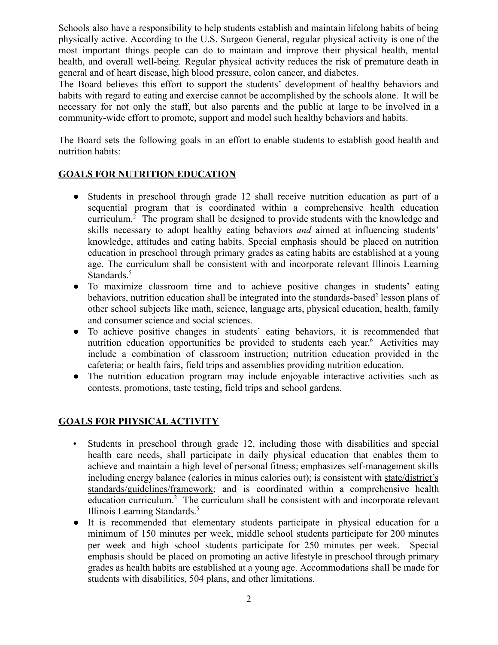Schools also have a responsibility to help students establish and maintain lifelong habits of being physically active. According to the U.S. Surgeon General, regular physical activity is one of the most important things people can do to maintain and improve their physical health, mental health, and overall well-being. Regular physical activity reduces the risk of premature death in general and of heart disease, high blood pressure, colon cancer, and diabetes.

The Board believes this effort to support the students' development of healthy behaviors and habits with regard to eating and exercise cannot be accomplished by the schools alone. It will be necessary for not only the staff, but also parents and the public at large to be involved in a community-wide effort to promote, support and model such healthy behaviors and habits.

The Board sets the following goals in an effort to enable students to establish good health and nutrition habits:

#### **GOALS FOR NUTRITION EDUCATION**

- **●** Students in preschool through grade 12 shall receive nutrition education as part of a sequential program that is coordinated within a comprehensive health education curriculum.<sup>2</sup> The program shall be designed to provide students with the knowledge and skills necessary to adopt healthy eating behaviors *and* aimed at influencing students' knowledge, attitudes and eating habits. Special emphasis should be placed on nutrition education in preschool through primary grades as eating habits are established at a young age. The curriculum shall be consistent with and incorporate relevant Illinois Learning Standards.<sup>5</sup>
- **●** To maximize classroom time and to achieve positive changes in students' eating behaviors, nutrition education shall be integrated into the standards-based<sup>2</sup> lesson plans of other school subjects like math, science, language arts, physical education, health, family and consumer science and social sciences.
- **●** To achieve positive changes in students' eating behaviors, it is recommended that nutrition education opportunities be provided to students each year.<sup>6</sup> Activities may include a combination of classroom instruction; nutrition education provided in the cafeteria; or health fairs, field trips and assemblies providing nutrition education.
- **●** The nutrition education program may include enjoyable interactive activities such as contests, promotions, taste testing, field trips and school gardens.

#### **GOALS FOR PHYSICAL ACTIVITY**

- Students in preschool through grade 12, including those with disabilities and special health care needs, shall participate in daily physical education that enables them to achieve and maintain a high level of personal fitness; emphasizes self-management skills including energy balance (calories in minus calories out); is consistent with state/district's standards/guidelines/framework; and is coordinated within a comprehensive health education curriculum.<sup>2</sup> The curriculum shall be consistent with and incorporate relevant Illinois Learning Standards.<sup>5</sup>
- It is recommended that elementary students participate in physical education for a minimum of 150 minutes per week, middle school students participate for 200 minutes per week and high school students participate for 250 minutes per week. Special emphasis should be placed on promoting an active lifestyle in preschool through primary grades as health habits are established at a young age. Accommodations shall be made for students with disabilities, 504 plans, and other limitations.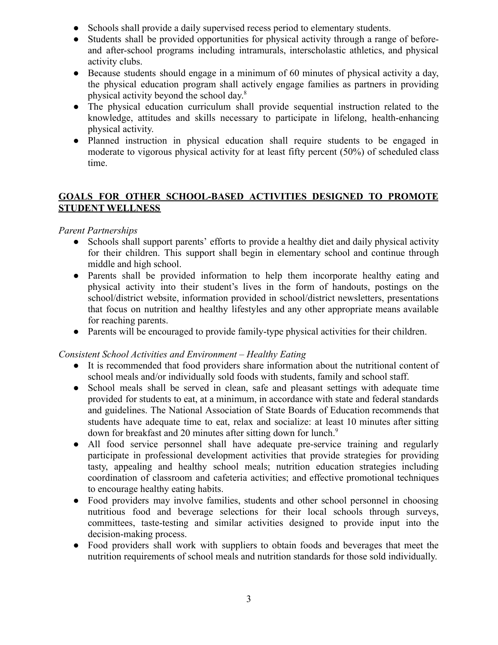- Schools shall provide a daily supervised recess period to elementary students.
- Students shall be provided opportunities for physical activity through a range of beforeand after-school programs including intramurals, interscholastic athletics, and physical activity clubs.
- Because students should engage in a minimum of 60 minutes of physical activity a day, the physical education program shall actively engage families as partners in providing physical activity beyond the school day. 8
- The physical education curriculum shall provide sequential instruction related to the knowledge, attitudes and skills necessary to participate in lifelong, health-enhancing physical activity.
- Planned instruction in physical education shall require students to be engaged in moderate to vigorous physical activity for at least fifty percent (50%) of scheduled class time.

#### **GOALS FOR OTHER SCHOOL-BASED ACTIVITIES DESIGNED TO PROMOTE STUDENT WELLNESS**

#### *Parent Partnerships*

- Schools shall support parents' efforts to provide a healthy diet and daily physical activity for their children. This support shall begin in elementary school and continue through middle and high school.
- Parents shall be provided information to help them incorporate healthy eating and physical activity into their student's lives in the form of handouts, postings on the school/district website, information provided in school/district newsletters, presentations that focus on nutrition and healthy lifestyles and any other appropriate means available for reaching parents.
- Parents will be encouraged to provide family-type physical activities for their children.

#### *Consistent School Activities and Environment – Healthy Eating*

- It is recommended that food providers share information about the nutritional content of school meals and/or individually sold foods with students, family and school staff.
- School meals shall be served in clean, safe and pleasant settings with adequate time provided for students to eat, at a minimum, in accordance with state and federal standards and guidelines. The National Association of State Boards of Education recommends that students have adequate time to eat, relax and socialize: at least 10 minutes after sitting down for breakfast and 20 minutes after sitting down for lunch.<sup>9</sup>
- All food service personnel shall have adequate pre-service training and regularly participate in professional development activities that provide strategies for providing tasty, appealing and healthy school meals; nutrition education strategies including coordination of classroom and cafeteria activities; and effective promotional techniques to encourage healthy eating habits.
- Food providers may involve families, students and other school personnel in choosing nutritious food and beverage selections for their local schools through surveys, committees, taste-testing and similar activities designed to provide input into the decision-making process.
- Food providers shall work with suppliers to obtain foods and beverages that meet the nutrition requirements of school meals and nutrition standards for those sold individually.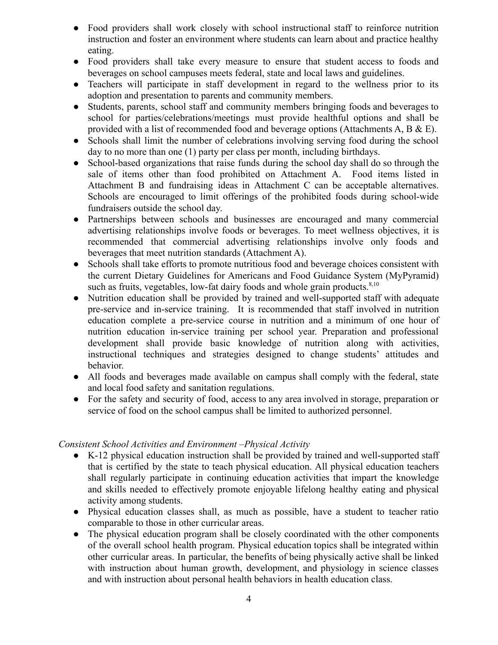- **●** Food providers shall work closely with school instructional staff to reinforce nutrition instruction and foster an environment where students can learn about and practice healthy eating.
- **●** Food providers shall take every measure to ensure that student access to foods and beverages on school campuses meets federal, state and local laws and guidelines.
- **●** Teachers will participate in staff development in regard to the wellness prior to its adoption and presentation to parents and community members.
- Students, parents, school staff and community members bringing foods and beverages to school for parties/celebrations/meetings must provide healthful options and shall be provided with a list of recommended food and beverage options (Attachments  $A, B \& E$ ).
- Schools shall limit the number of celebrations involving serving food during the school day to no more than one (1) party per class per month, including birthdays.
- **●** School-based organizations that raise funds during the school day shall do so through the sale of items other than food prohibited on Attachment A. Food items listed in Attachment B and fundraising ideas in Attachment C can be acceptable alternatives. Schools are encouraged to limit offerings of the prohibited foods during school-wide fundraisers outside the school day.
- Partnerships between schools and businesses are encouraged and many commercial advertising relationships involve foods or beverages. To meet wellness objectives, it is recommended that commercial advertising relationships involve only foods and beverages that meet nutrition standards (Attachment A).
- Schools shall take efforts to promote nutritious food and beverage choices consistent with the current Dietary Guidelines for Americans and Food Guidance System (MyPyramid) such as fruits, vegetables, low-fat dairy foods and whole grain products. $8,10$
- Nutrition education shall be provided by trained and well-supported staff with adequate pre-service and in-service training. It is recommended that staff involved in nutrition education complete a pre-service course in nutrition and a minimum of one hour of nutrition education in-service training per school year. Preparation and professional development shall provide basic knowledge of nutrition along with activities, instructional techniques and strategies designed to change students' attitudes and behavior.
- All foods and beverages made available on campus shall comply with the federal, state and local food safety and sanitation regulations.
- For the safety and security of food, access to any area involved in storage, preparation or service of food on the school campus shall be limited to authorized personnel.

#### *Consistent School Activities and Environment –Physical Activity*

- K-12 physical education instruction shall be provided by trained and well-supported staff that is certified by the state to teach physical education. All physical education teachers shall regularly participate in continuing education activities that impart the knowledge and skills needed to effectively promote enjoyable lifelong healthy eating and physical activity among students.
- Physical education classes shall, as much as possible, have a student to teacher ratio comparable to those in other curricular areas.
- The physical education program shall be closely coordinated with the other components of the overall school health program. Physical education topics shall be integrated within other curricular areas. In particular, the benefits of being physically active shall be linked with instruction about human growth, development, and physiology in science classes and with instruction about personal health behaviors in health education class.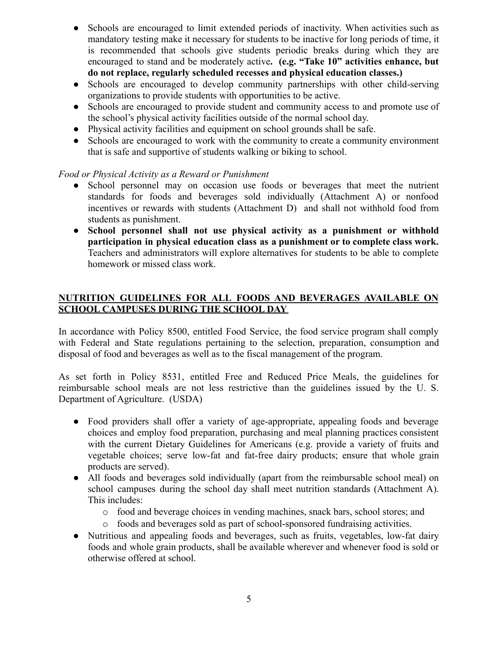- **●** Schools are encouraged to limit extended periods of inactivity. When activities such as mandatory testing make it necessary for students to be inactive for long periods of time, it is recommended that schools give students periodic breaks during which they are encouraged to stand and be moderately active**. (e.g. "Take 10" activities enhance, but do not replace, regularly scheduled recesses and physical education classes.)**
- Schools are encouraged to develop community partnerships with other child-serving organizations to provide students with opportunities to be active.
- Schools are encouraged to provide student and community access to and promote use of the school's physical activity facilities outside of the normal school day.
- **●** Physical activity facilities and equipment on school grounds shall be safe.
- Schools are encouraged to work with the community to create a community environment that is safe and supportive of students walking or biking to school.

#### *Food or Physical Activity as a Reward or Punishment*

- School personnel may on occasion use foods or beverages that meet the nutrient standards for foods and beverages sold individually (Attachment A) or nonfood incentives or rewards with students (Attachment D) and shall not withhold food from students as punishment.
- **● School personnel shall not use physical activity as a punishment or withhold participation in physical education class as a punishment or to complete class work.** Teachers and administrators will explore alternatives for students to be able to complete homework or missed class work.

#### **NUTRITION GUIDELINES FOR ALL FOODS AND BEVERAGES AVAILABLE ON SCHOOL CAMPUSES DURING THE SCHOOL DAY**

In accordance with Policy 8500, entitled Food Service, the food service program shall comply with Federal and State regulations pertaining to the selection, preparation, consumption and disposal of food and beverages as well as to the fiscal management of the program.

As set forth in Policy 8531, entitled Free and Reduced Price Meals, the guidelines for reimbursable school meals are not less restrictive than the guidelines issued by the U. S. Department of Agriculture. (USDA)

- Food providers shall offer a variety of age-appropriate, appealing foods and beverage choices and employ food preparation, purchasing and meal planning practices consistent with the current Dietary Guidelines for Americans (e.g. provide a variety of fruits and vegetable choices; serve low-fat and fat-free dairy products; ensure that whole grain products are served).
- All foods and beverages sold individually (apart from the reimbursable school meal) on school campuses during the school day shall meet nutrition standards (Attachment A). This includes:
	- o food and beverage choices in vending machines, snack bars, school stores; and
	- o foods and beverages sold as part of school-sponsored fundraising activities.
- Nutritious and appealing foods and beverages, such as fruits, vegetables, low-fat dairy foods and whole grain products, shall be available wherever and whenever food is sold or otherwise offered at school.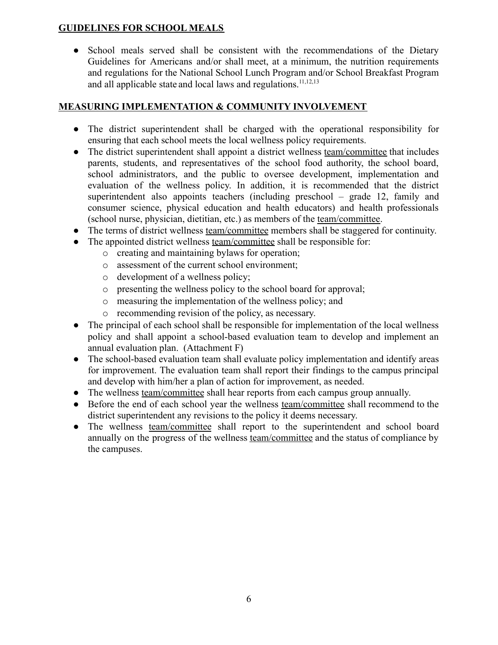#### **GUIDELINES FOR SCHOOL MEALS**

• School meals served shall be consistent with the recommendations of the Dietary Guidelines for Americans and/or shall meet, at a minimum, the nutrition requirements and regulations for the National School Lunch Program and/or School Breakfast Program and all applicable state and local laws and regulations.<sup>11,12,13</sup>

#### **MEASURING IMPLEMENTATION & COMMUNITY INVOLVEMENT**

- The district superintendent shall be charged with the operational responsibility for ensuring that each school meets the local wellness policy requirements.
- The district superintendent shall appoint a district wellness team/committee that includes parents, students, and representatives of the school food authority, the school board, school administrators, and the public to oversee development, implementation and evaluation of the wellness policy. In addition, it is recommended that the district superintendent also appoints teachers (including preschool – grade 12, family and consumer science, physical education and health educators) and health professionals (school nurse, physician, dietitian, etc.) as members of the team/committee.
- The terms of district wellness team/committee members shall be staggered for continuity.
- The appointed district wellness team/committee shall be responsible for:
	- o creating and maintaining bylaws for operation;
	- o assessment of the current school environment;
	- o development of a wellness policy;
	- o presenting the wellness policy to the school board for approval;
	- o measuring the implementation of the wellness policy; and
	- o recommending revision of the policy, as necessary.
- The principal of each school shall be responsible for implementation of the local wellness policy and shall appoint a school-based evaluation team to develop and implement an annual evaluation plan. (Attachment F)
- The school-based evaluation team shall evaluate policy implementation and identify areas for improvement. The evaluation team shall report their findings to the campus principal and develop with him/her a plan of action for improvement, as needed.
- The wellness team/committee shall hear reports from each campus group annually.
- Before the end of each school year the wellness team/committee shall recommend to the district superintendent any revisions to the policy it deems necessary.
- The wellness team/committee shall report to the superintendent and school board annually on the progress of the wellness team/committee and the status of compliance by the campuses.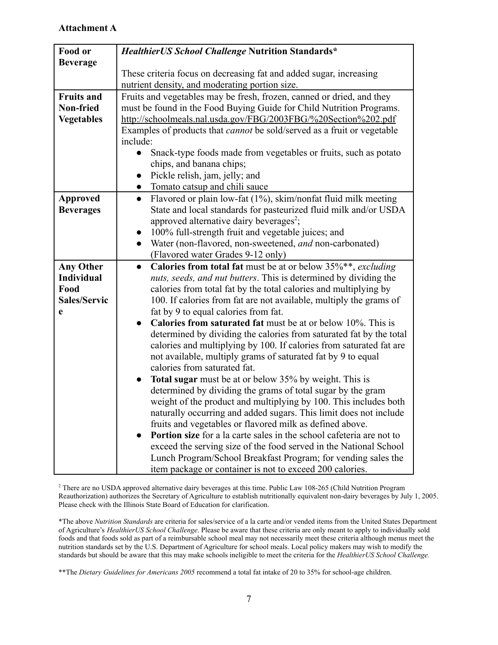#### **Attachment A**

| Food or             | HealthierUS School Challenge Nutrition Standards*                                |  |  |  |
|---------------------|----------------------------------------------------------------------------------|--|--|--|
| <b>Beverage</b>     |                                                                                  |  |  |  |
|                     | These criteria focus on decreasing fat and added sugar, increasing               |  |  |  |
|                     | nutrient density, and moderating portion size.                                   |  |  |  |
| <b>Fruits and</b>   | Fruits and vegetables may be fresh, frozen, canned or dried, and they            |  |  |  |
| Non-fried           | must be found in the Food Buying Guide for Child Nutrition Programs.             |  |  |  |
| <b>Vegetables</b>   | http://schoolmeals.nal.usda.gov/FBG/2003FBG/%20Section%202.pdf                   |  |  |  |
|                     | Examples of products that <i>cannot</i> be sold/served as a fruit or vegetable   |  |  |  |
|                     | include:                                                                         |  |  |  |
|                     | Snack-type foods made from vegetables or fruits, such as potato                  |  |  |  |
|                     | chips, and banana chips;                                                         |  |  |  |
|                     | Pickle relish, jam, jelly; and                                                   |  |  |  |
|                     | Tomato catsup and chili sauce                                                    |  |  |  |
| <b>Approved</b>     | Flavored or plain low-fat (1%), skim/nonfat fluid milk meeting<br>$\bullet$      |  |  |  |
| <b>Beverages</b>    | State and local standards for pasteurized fluid milk and/or USDA                 |  |  |  |
|                     | approved alternative dairy beverages <sup>2</sup> ;                              |  |  |  |
|                     | 100% full-strength fruit and vegetable juices; and                               |  |  |  |
|                     | Water (non-flavored, non-sweetened, and non-carbonated)<br>$\bullet$             |  |  |  |
|                     | (Flavored water Grades 9-12 only)                                                |  |  |  |
| <b>Any Other</b>    | Calories from total fat must be at or below 35%**, excluding<br>$\bullet$        |  |  |  |
| <b>Individual</b>   | nuts, seeds, and nut butters. This is determined by dividing the                 |  |  |  |
| Food                | calories from total fat by the total calories and multiplying by                 |  |  |  |
| <b>Sales/Servic</b> | 100. If calories from fat are not available, multiply the grams of               |  |  |  |
| e                   | fat by 9 to equal calories from fat.                                             |  |  |  |
|                     | <b>Calories from saturated fat</b> must be at or below 10%. This is<br>$\bullet$ |  |  |  |
|                     | determined by dividing the calories from saturated fat by the total              |  |  |  |
|                     | calories and multiplying by 100. If calories from saturated fat are              |  |  |  |
|                     | not available, multiply grams of saturated fat by 9 to equal                     |  |  |  |
|                     | calories from saturated fat.                                                     |  |  |  |
|                     | <b>Total sugar</b> must be at or below 35% by weight. This is                    |  |  |  |
|                     | determined by dividing the grams of total sugar by the gram                      |  |  |  |
|                     | weight of the product and multiplying by 100. This includes both                 |  |  |  |
|                     | naturally occurring and added sugars. This limit does not include                |  |  |  |
|                     | fruits and vegetables or flavored milk as defined above.                         |  |  |  |
|                     | <b>Portion size</b> for a la carte sales in the school cafeteria are not to      |  |  |  |
|                     | exceed the serving size of the food served in the National School                |  |  |  |
|                     | Lunch Program/School Breakfast Program; for vending sales the                    |  |  |  |
|                     | item package or container is not to exceed 200 calories.                         |  |  |  |

<sup>2</sup> There are no USDA approved alternative dairy beverages at this time. Public Law 108-265 (Child Nutrition Program Reauthorization) authorizes the Secretary of Agriculture to establish nutritionally equivalent non-dairy beverages by July 1, 2005. Please check with the Illinois State Board of Education for clarification.

\*The above *Nutrition Standards* are criteria for sales/service of a la carte and/or vended items from the United States Department of Agriculture's *HealthierUS School Challenge*. Please be aware that these criteria are only meant to apply to individually sold foods and that foods sold as part of a reimbursable school meal may not necessarily meet these criteria although menus meet the nutrition standards set by the U.S. Department of Agriculture for school meals. Local policy makers may wish to modify the standards but should be aware that this may make schools ineligible to meet the criteria for the *HealthierUS School Challenge.*

\*\*The *Dietary Guidelines for Americans 2005* recommend a total fat intake of 20 to 35% for school-age children.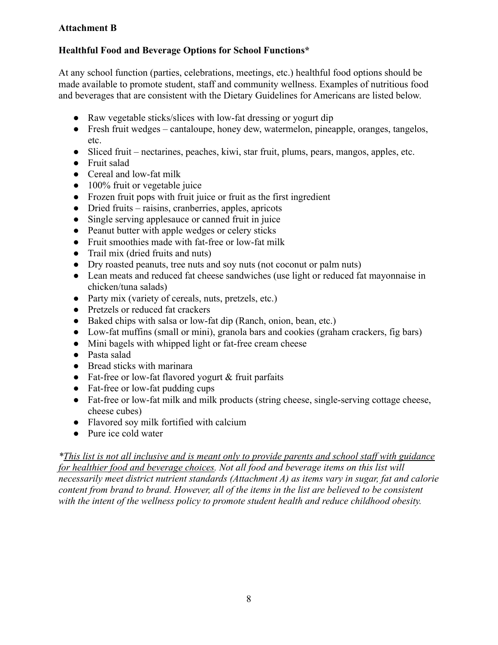#### **Attachment B**

#### **Healthful Food and Beverage Options for School Functions\***

At any school function (parties, celebrations, meetings, etc.) healthful food options should be made available to promote student, staff and community wellness. Examples of nutritious food and beverages that are consistent with the Dietary Guidelines for Americans are listed below.

- Raw vegetable sticks/slices with low-fat dressing or yogurt dip
- Fresh fruit wedges cantaloupe, honey dew, watermelon, pineapple, oranges, tangelos, etc.
- Sliced fruit nectarines, peaches, kiwi, star fruit, plums, pears, mangos, apples, etc.
- Fruit salad
- Cereal and low-fat milk
- 100% fruit or vegetable juice
- Frozen fruit pops with fruit juice or fruit as the first ingredient
- Dried fruits raisins, cranberries, apples, apricots
- Single serving applesauce or canned fruit in juice
- Peanut butter with apple wedges or celery sticks
- Fruit smoothies made with fat-free or low-fat milk
- Trail mix (dried fruits and nuts)
- Dry roasted peanuts, tree nuts and soy nuts (not coconut or palm nuts)
- Lean meats and reduced fat cheese sandwiches (use light or reduced fat mayonnaise in chicken/tuna salads)
- Party mix (variety of cereals, nuts, pretzels, etc.)
- Pretzels or reduced fat crackers
- Baked chips with salsa or low-fat dip (Ranch, onion, bean, etc.)
- Low-fat muffins (small or mini), granola bars and cookies (graham crackers, fig bars)
- Mini bagels with whipped light or fat-free cream cheese
- Pasta salad
- Bread sticks with marinara
- Fat-free or low-fat flavored yogurt & fruit parfaits
- Fat-free or low-fat pudding cups
- Fat-free or low-fat milk and milk products (string cheese, single-serving cottage cheese, cheese cubes)
- Flavored soy milk fortified with calcium
- Pure ice cold water

*\*This list is not all inclusive and is meant only to provide parents and school staff with guidance for healthier food and beverage choices. Not all food and beverage items on this list will necessarily meet district nutrient standards (Attachment A) as items vary in sugar, fat and calorie content from brand to brand. However, all of the items in the list are believed to be consistent with the intent of the wellness policy to promote student health and reduce childhood obesity.*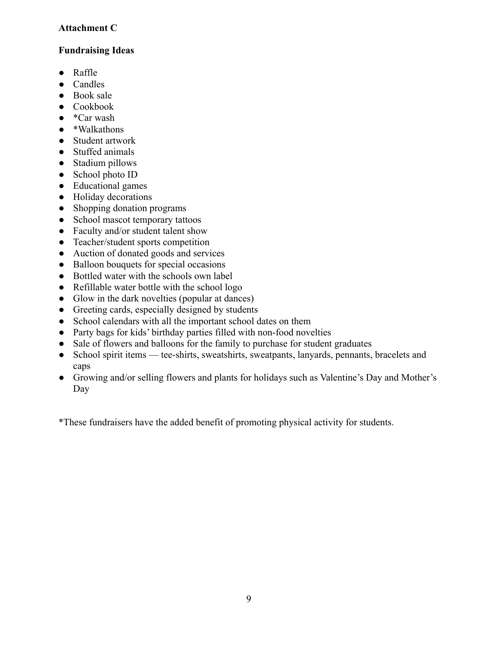#### **Attachment C**

#### **Fundraising Ideas**

- Raffle
- Candles
- Book sale
- Cookbook
- $\bullet$  \*Car wash
- \*Walkathons
- Student artwork
- Stuffed animals
- Stadium pillows
- School photo ID
- Educational games
- Holiday decorations
- Shopping donation programs
- School mascot temporary tattoos
- Faculty and/or student talent show
- Teacher/student sports competition
- Auction of donated goods and services
- Balloon bouquets for special occasions
- Bottled water with the schools own label
- Refillable water bottle with the school logo
- Glow in the dark novelties (popular at dances)
- Greeting cards, especially designed by students
- School calendars with all the important school dates on them
- Party bags for kids' birthday parties filled with non-food novelties
- Sale of flowers and balloons for the family to purchase for student graduates
- School spirit items tee-shirts, sweatshirts, sweatpants, lanyards, pennants, bracelets and caps
- Growing and/or selling flowers and plants for holidays such as Valentine's Day and Mother's Day

\*These fundraisers have the added benefit of promoting physical activity for students.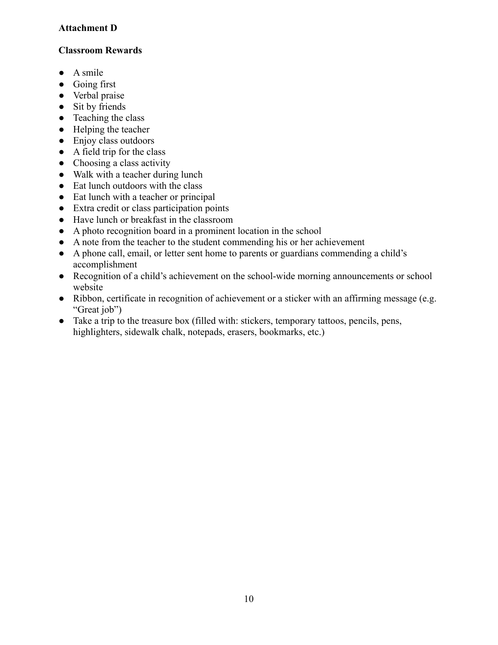#### **Attachment D**

#### **Classroom Rewards**

- $\bullet$  A smile
- Going first
- Verbal praise
- Sit by friends
- Teaching the class
- Helping the teacher
- Enjoy class outdoors
- $\bullet$  A field trip for the class
- $\bullet$  Choosing a class activity
- Walk with a teacher during lunch
- Eat lunch outdoors with the class
- Eat lunch with a teacher or principal
- Extra credit or class participation points
- Have lunch or breakfast in the classroom
- A photo recognition board in a prominent location in the school
- A note from the teacher to the student commending his or her achievement
- A phone call, email, or letter sent home to parents or guardians commending a child's accomplishment
- Recognition of a child's achievement on the school-wide morning announcements or school website
- Ribbon, certificate in recognition of achievement or a sticker with an affirming message (e.g. "Great job")
- Take a trip to the treasure box (filled with: stickers, temporary tattoos, pencils, pens, highlighters, sidewalk chalk, notepads, erasers, bookmarks, etc.)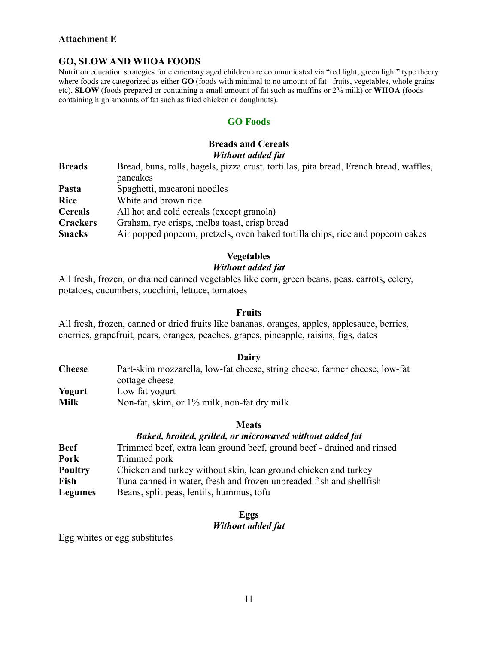#### **Attachment E**

#### **GO, SLOW AND WHOA FOODS**

Nutrition education strategies for elementary aged children are communicated via "red light, green light" type theory where foods are categorized as either **GO** (foods with minimal to no amount of fat –fruits, vegetables, whole grains etc), **SLOW** (foods prepared or containing a small amount of fat such as muffins or 2% milk) or **WHOA** (foods containing high amounts of fat such as fried chicken or doughnuts).

#### **GO Foods**

#### **Breads and Cereals** *Without added fat*

| <b>Breads</b>   | Bread, buns, rolls, bagels, pizza crust, tortillas, pita bread, French bread, waffles, |  |
|-----------------|----------------------------------------------------------------------------------------|--|
|                 | pancakes                                                                               |  |
| Pasta           | Spaghetti, macaroni noodles                                                            |  |
| <b>Rice</b>     | White and brown rice                                                                   |  |
| <b>Cereals</b>  | All hot and cold cereals (except granola)                                              |  |
| <b>Crackers</b> | Graham, rye crisps, melba toast, crisp bread                                           |  |
| <b>Snacks</b>   | Air popped popcorn, pretzels, oven baked tortilla chips, rice and popcorn cakes        |  |

#### **Vegetables**

#### *Without added fat*

All fresh, frozen, or drained canned vegetables like corn, green beans, peas, carrots, celery, potatoes, cucumbers, zucchini, lettuce, tomatoes

#### **Fruits**

All fresh, frozen, canned or dried fruits like bananas, oranges, apples, applesauce, berries, cherries, grapefruit, pears, oranges, peaches, grapes, pineapple, raisins, figs, dates

#### **Dairy**

| <b>Cheese</b> | Part-skim mozzarella, low-fat cheese, string cheese, farmer cheese, low-fat |
|---------------|-----------------------------------------------------------------------------|
|               | cottage cheese                                                              |
| Yogurt        | Low fat yogurt                                                              |
| <b>Milk</b>   | Non-fat, skim, or 1% milk, non-fat dry milk                                 |

#### **Meats**

#### *Baked, broiled, grilled, or microwaved without added fat* **Beef** Trimmed beef, extra lean ground beef, ground beef - drained and rinsed **Pork** Trimmed pork

| <b>Poultry</b> | Chicken and turkey without skin, lean ground chicken and turkey     |
|----------------|---------------------------------------------------------------------|
| Fish           | Tuna canned in water, fresh and frozen unbreaded fish and shellfish |
| <b>Legumes</b> | Beans, split peas, lentils, hummus, tofu                            |

#### **Eggs**

#### *Without added fat*

Egg whites or egg substitutes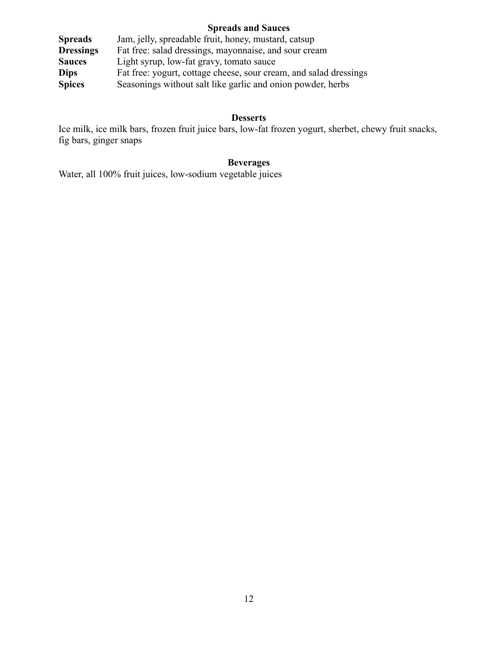#### **Spreads and Sauces**

| <b>Spreads</b>   | Jam, jelly, spreadable fruit, honey, mustard, catsup              |  |  |
|------------------|-------------------------------------------------------------------|--|--|
| <b>Dressings</b> | Fat free: salad dressings, mayonnaise, and sour cream             |  |  |
| <b>Sauces</b>    | Light syrup, low-fat gravy, tomato sauce                          |  |  |
| <b>Dips</b>      | Fat free: yogurt, cottage cheese, sour cream, and salad dressings |  |  |
| <b>Spices</b>    | Seasonings without salt like garlic and onion powder, herbs       |  |  |

#### **Desserts**

Ice milk, ice milk bars, frozen fruit juice bars, low-fat frozen yogurt, sherbet, chewy fruit snacks, fig bars, ginger snaps

#### **Beverages**

Water, all 100% fruit juices, low-sodium vegetable juices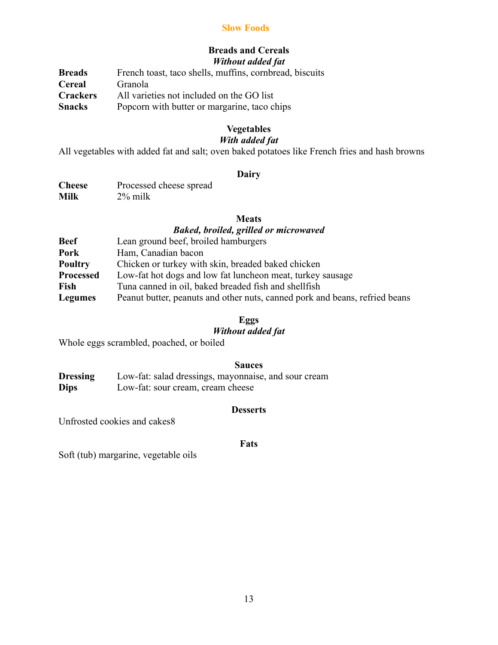#### **Slow Foods**

#### **Breads and Cereals** *Without added fat*

**Breads** French toast, taco shells, muffins, cornbread, biscuits **Cereal** Granola<br>**Crackers** All varie **Crackers** All varieties not included on the GO list **Snacks** Popcorn with butter or margarine, taco chips

#### **Vegetables**

#### *With added fat*

All vegetables with added fat and salt; oven baked potatoes like French fries and hash browns

#### **Dairy**

| <b>Cheese</b> | Processed cheese spread |
|---------------|-------------------------|
| Milk          | $2\%$ milk              |

#### **Meats**

#### *Baked, broiled, grilled or microwaved*

| <b>Beef</b>      | Lean ground beef, broiled hamburgers                                        |
|------------------|-----------------------------------------------------------------------------|
| Pork             | Ham, Canadian bacon                                                         |
| <b>Poultry</b>   | Chicken or turkey with skin, breaded baked chicken                          |
| <b>Processed</b> | Low-fat hot dogs and low fat luncheon meat, turkey sausage                  |
| Fish             | Tuna canned in oil, baked breaded fish and shellfish                        |
| <b>Legumes</b>   | Peanut butter, peanuts and other nuts, canned pork and beans, refried beans |

#### **Eggs**

#### *Without added fat*

Whole eggs scrambled, poached, or boiled

#### **Sauces**

**Dressing** Low-fat: salad dressings, mayonnaise, and sour cream **Dips** Low-fat: sour cream, cream cheese

#### **Desserts**

Unfrosted cookies and cakes8

#### **Fats**

Soft (tub) margarine, vegetable oils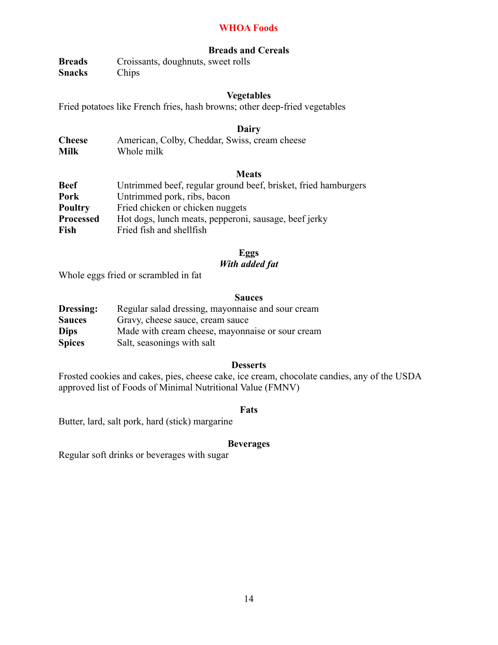#### **WHOA Foods**

#### **Breads and Cereals**

**Breads** Croissants, doughnuts, sweet rolls **Snacks** Chips

#### **Vegetables**

Fried potatoes like French fries, hash browns; other deep-fried vegetables

#### **Dairy**

| <b>Cheese</b> | American, Colby, Cheddar, Swiss, cream cheese |
|---------------|-----------------------------------------------|
| <b>Milk</b>   | Whole milk                                    |

#### **Meats**

| Untrimmed beef, regular ground beef, brisket, fried hamburgers |  |
|----------------------------------------------------------------|--|
| Untrimmed pork, ribs, bacon                                    |  |
| Fried chicken or chicken nuggets                               |  |
| Hot dogs, lunch meats, pepperoni, sausage, beef jerky          |  |
| Fried fish and shellfish                                       |  |
|                                                                |  |

#### **Eggs**

#### *With added fat*

Whole eggs fried or scrambled in fat

#### **Sauces**

| Dressing:     | Regular salad dressing, mayonnaise and sour cream |  |  |
|---------------|---------------------------------------------------|--|--|
| <b>Sauces</b> | Gravy, cheese sauce, cream sauce                  |  |  |
| <b>Dips</b>   | Made with cream cheese, mayonnaise or sour cream  |  |  |
| <b>Spices</b> | Salt, seasonings with salt                        |  |  |

#### **Desserts**

Frosted cookies and cakes, pies, cheese cake, ice cream, chocolate candies, any of the USDA approved list of Foods of Minimal Nutritional Value (FMNV)

#### **Fats**

Butter, lard, salt pork, hard (stick) margarine

#### **Beverages**

Regular soft drinks or beverages with sugar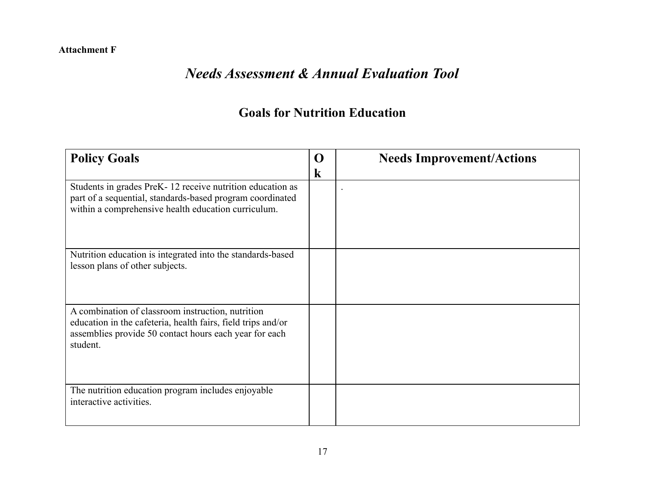#### **Attachment F**

# *Needs Assessment & Annual Evaluation Tool*

### **Goals for Nutrition Education**

| <b>Policy Goals</b>                                                                                                                                                                     | $\Omega$<br>$\bf k$ | <b>Needs Improvement/Actions</b> |
|-----------------------------------------------------------------------------------------------------------------------------------------------------------------------------------------|---------------------|----------------------------------|
| Students in grades PreK-12 receive nutrition education as<br>part of a sequential, standards-based program coordinated<br>within a comprehensive health education curriculum.           |                     |                                  |
| Nutrition education is integrated into the standards-based<br>lesson plans of other subjects.                                                                                           |                     |                                  |
| A combination of classroom instruction, nutrition<br>education in the cafeteria, health fairs, field trips and/or<br>assemblies provide 50 contact hours each year for each<br>student. |                     |                                  |
| The nutrition education program includes enjoyable<br>interactive activities.                                                                                                           |                     |                                  |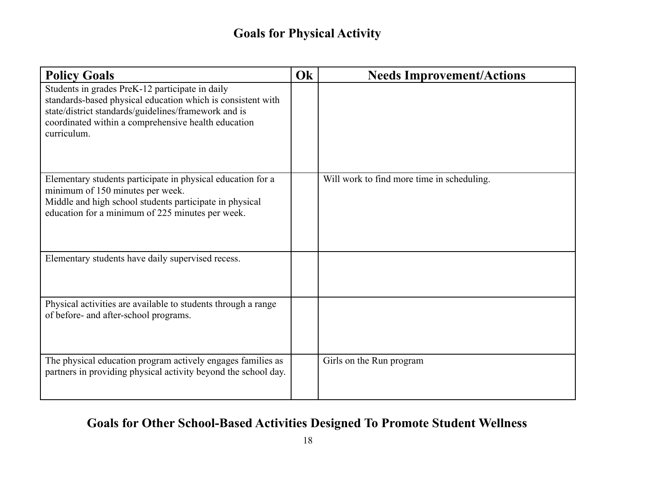### **Goals for Physical Activity**

| <b>Policy Goals</b>                                                                                                                                                                                                                          | Ok | <b>Needs Improvement/Actions</b>           |
|----------------------------------------------------------------------------------------------------------------------------------------------------------------------------------------------------------------------------------------------|----|--------------------------------------------|
| Students in grades PreK-12 participate in daily<br>standards-based physical education which is consistent with<br>state/district standards/guidelines/framework and is<br>coordinated within a comprehensive health education<br>curriculum. |    |                                            |
| Elementary students participate in physical education for a<br>minimum of 150 minutes per week.<br>Middle and high school students participate in physical<br>education for a minimum of 225 minutes per week.                               |    | Will work to find more time in scheduling. |
| Elementary students have daily supervised recess.                                                                                                                                                                                            |    |                                            |
| Physical activities are available to students through a range<br>of before- and after-school programs.                                                                                                                                       |    |                                            |
| The physical education program actively engages families as<br>partners in providing physical activity beyond the school day.                                                                                                                |    | Girls on the Run program                   |

# **Goals for Other School-Based Activities Designed To Promote Student Wellness**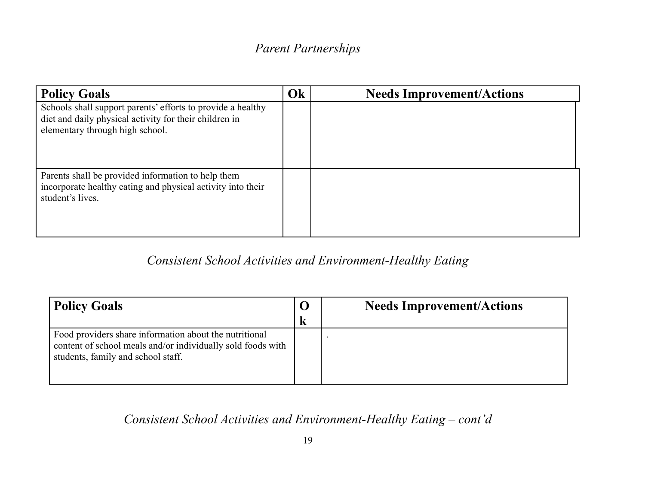### *Parent Partnerships*

| <b>Policy Goals</b>                                                                                                                                      | Ok | <b>Needs Improvement/Actions</b> |
|----------------------------------------------------------------------------------------------------------------------------------------------------------|----|----------------------------------|
| Schools shall support parents' efforts to provide a healthy<br>diet and daily physical activity for their children in<br>elementary through high school. |    |                                  |
| Parents shall be provided information to help them<br>incorporate healthy eating and physical activity into their<br>student's lives.                    |    |                                  |

### *Consistent School Activities and Environment-Healthy Eating*

| <b>Policy Goals</b>                                                                                                                                         |   | <b>Needs Improvement/Actions</b> |
|-------------------------------------------------------------------------------------------------------------------------------------------------------------|---|----------------------------------|
|                                                                                                                                                             | k |                                  |
| Food providers share information about the nutritional<br>content of school meals and/or individually sold foods with<br>students, family and school staff. |   |                                  |

# *Consistent School Activities and Environment-Healthy Eating – cont'd*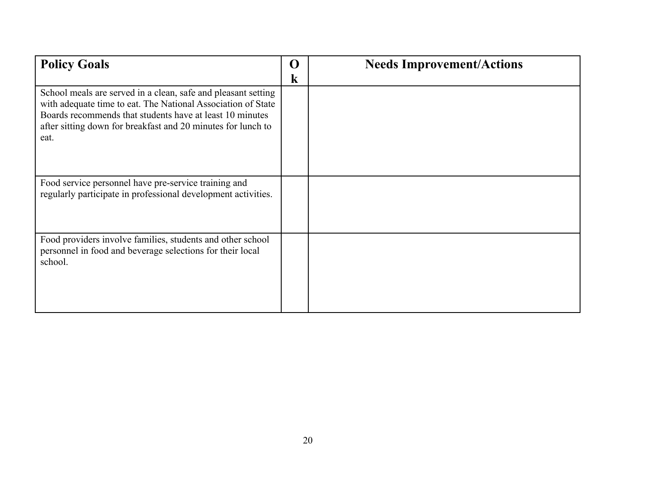| <b>Policy Goals</b>                                                                                                                                                                                                                                               | $\mathbf{\Omega}$<br>k | <b>Needs Improvement/Actions</b> |
|-------------------------------------------------------------------------------------------------------------------------------------------------------------------------------------------------------------------------------------------------------------------|------------------------|----------------------------------|
| School meals are served in a clean, safe and pleasant setting<br>with adequate time to eat. The National Association of State<br>Boards recommends that students have at least 10 minutes<br>after sitting down for breakfast and 20 minutes for lunch to<br>eat. |                        |                                  |
| Food service personnel have pre-service training and<br>regularly participate in professional development activities.                                                                                                                                             |                        |                                  |
| Food providers involve families, students and other school<br>personnel in food and beverage selections for their local<br>school.                                                                                                                                |                        |                                  |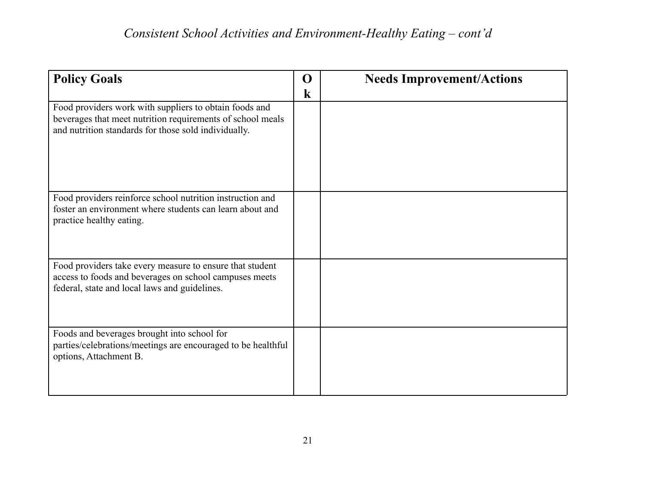| O       | <b>Needs Improvement/Actions</b> |
|---------|----------------------------------|
| $\bf k$ |                                  |
|         |                                  |
|         |                                  |
|         |                                  |
|         |                                  |
|         |                                  |
|         |                                  |
|         |                                  |
|         |                                  |
|         |                                  |
|         |                                  |
|         |                                  |
|         |                                  |
|         |                                  |
|         |                                  |
|         |                                  |
|         |                                  |
|         |                                  |
|         |                                  |
|         |                                  |
|         |                                  |
|         |                                  |
|         |                                  |
|         |                                  |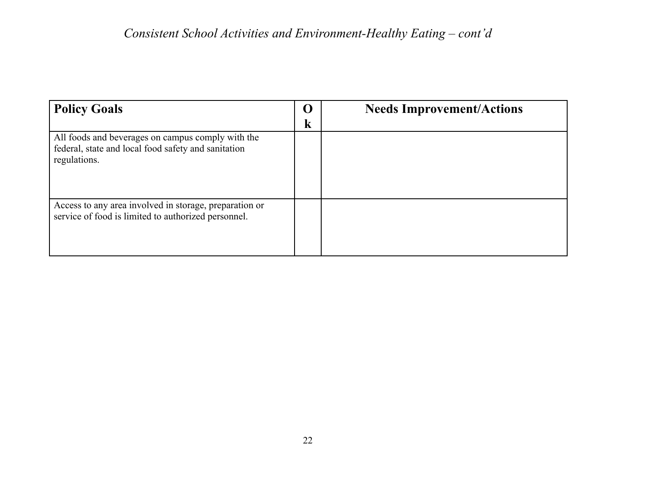| <b>Policy Goals</b>                                                                                                      | U | <b>Needs Improvement/Actions</b> |
|--------------------------------------------------------------------------------------------------------------------------|---|----------------------------------|
|                                                                                                                          | k |                                  |
| All foods and beverages on campus comply with the<br>federal, state and local food safety and sanitation<br>regulations. |   |                                  |
| Access to any area involved in storage, preparation or<br>service of food is limited to authorized personnel.            |   |                                  |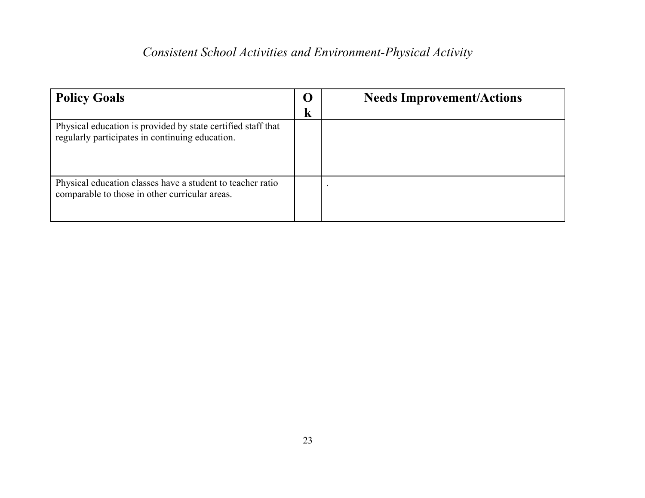# *Consistent School Activities and Environment-Physical Activity*

| <b>Policy Goals</b>                                                                                             | k | <b>Needs Improvement/Actions</b> |
|-----------------------------------------------------------------------------------------------------------------|---|----------------------------------|
| Physical education is provided by state certified staff that<br>regularly participates in continuing education. |   |                                  |
| Physical education classes have a student to teacher ratio<br>comparable to those in other curricular areas.    |   |                                  |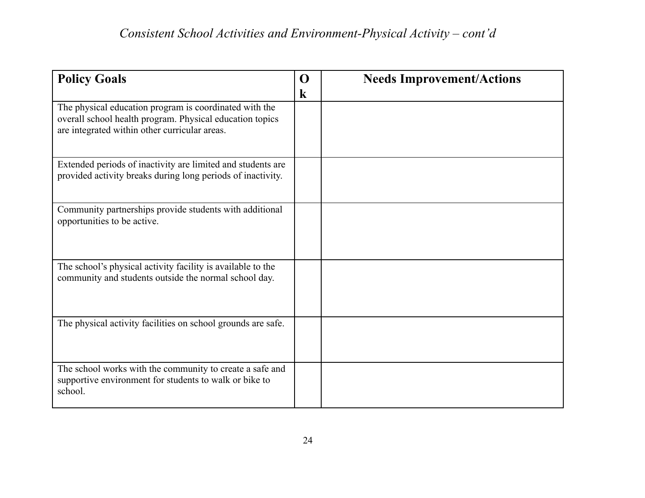| <b>Policy Goals</b>                                                                                                                                                 | $\Omega$<br>$\bf k$ | <b>Needs Improvement/Actions</b> |
|---------------------------------------------------------------------------------------------------------------------------------------------------------------------|---------------------|----------------------------------|
| The physical education program is coordinated with the<br>overall school health program. Physical education topics<br>are integrated within other curricular areas. |                     |                                  |
| Extended periods of inactivity are limited and students are<br>provided activity breaks during long periods of inactivity.                                          |                     |                                  |
| Community partnerships provide students with additional<br>opportunities to be active.                                                                              |                     |                                  |
| The school's physical activity facility is available to the<br>community and students outside the normal school day.                                                |                     |                                  |
| The physical activity facilities on school grounds are safe.                                                                                                        |                     |                                  |
| The school works with the community to create a safe and<br>supportive environment for students to walk or bike to<br>school.                                       |                     |                                  |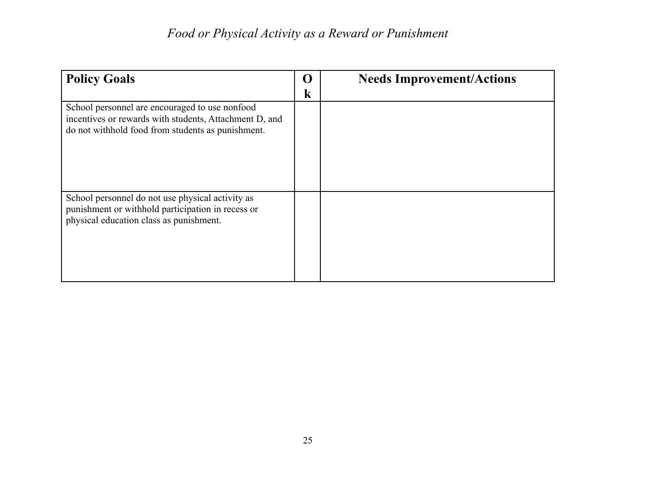| <b>Policy Goals</b>                                                                                                                                           | ( )<br>k | <b>Needs Improvement/Actions</b> |
|---------------------------------------------------------------------------------------------------------------------------------------------------------------|----------|----------------------------------|
| School personnel are encouraged to use nonfood<br>incentives or rewards with students, Attachment D, and<br>do not withhold food from students as punishment. |          |                                  |
| School personnel do not use physical activity as<br>punishment or withhold participation in recess or<br>physical education class as punishment.              |          |                                  |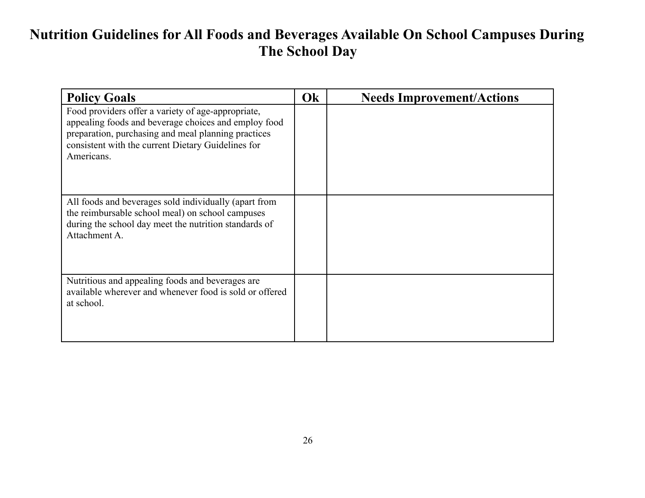# **Nutrition Guidelines for All Foods and Beverages Available On School Campuses During The School Day**

| <b>Policy Goals</b>                                                                                                                                                                                                                   | Ok | <b>Needs Improvement/Actions</b> |
|---------------------------------------------------------------------------------------------------------------------------------------------------------------------------------------------------------------------------------------|----|----------------------------------|
| Food providers offer a variety of age-appropriate,<br>appealing foods and beverage choices and employ food<br>preparation, purchasing and meal planning practices<br>consistent with the current Dietary Guidelines for<br>Americans. |    |                                  |
| All foods and beverages sold individually (apart from<br>the reimbursable school meal) on school campuses<br>during the school day meet the nutrition standards of<br>Attachment A.                                                   |    |                                  |
| Nutritious and appealing foods and beverages are.<br>available wherever and whenever food is sold or offered<br>at school.                                                                                                            |    |                                  |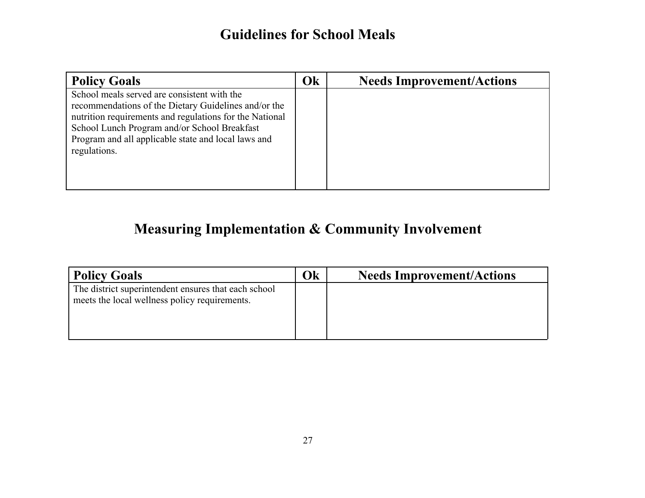### **Guidelines for School Meals**

| <b>Policy Goals</b>                                                                                                                                                                                                                                                                   | Ok | <b>Needs Improvement/Actions</b> |
|---------------------------------------------------------------------------------------------------------------------------------------------------------------------------------------------------------------------------------------------------------------------------------------|----|----------------------------------|
| School meals served are consistent with the<br>recommendations of the Dietary Guidelines and/or the<br>nutrition requirements and regulations for the National<br>School Lunch Program and/or School Breakfast<br>Program and all applicable state and local laws and<br>regulations. |    |                                  |

# **Measuring Implementation & Community Involvement**

| Policy Goals                                                                                          | Ok | <b>Needs Improvement/Actions</b> |
|-------------------------------------------------------------------------------------------------------|----|----------------------------------|
| The district superintendent ensures that each school<br>meets the local wellness policy requirements. |    |                                  |
|                                                                                                       |    |                                  |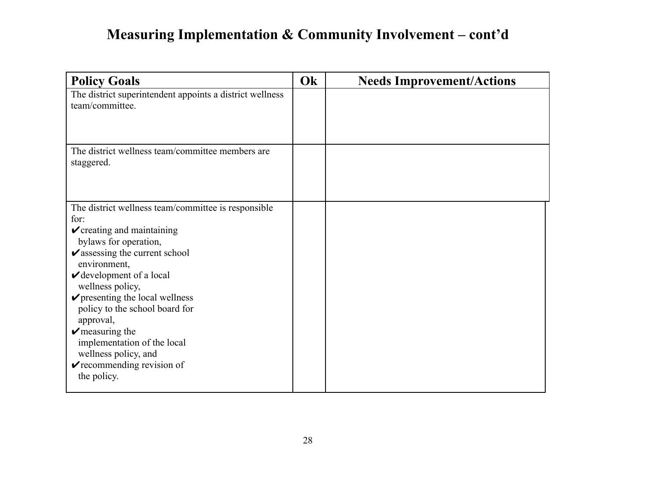# **Measuring Implementation & Community Involvement – cont'd**

| <b>Policy Goals</b>                                                                                                                                                                                                                                                                                                                                                                                                                                                                                                  | Ok | <b>Needs Improvement/Actions</b> |
|----------------------------------------------------------------------------------------------------------------------------------------------------------------------------------------------------------------------------------------------------------------------------------------------------------------------------------------------------------------------------------------------------------------------------------------------------------------------------------------------------------------------|----|----------------------------------|
| The district superintendent appoints a district wellness<br>team/committee.                                                                                                                                                                                                                                                                                                                                                                                                                                          |    |                                  |
| The district wellness team/committee members are<br>staggered.                                                                                                                                                                                                                                                                                                                                                                                                                                                       |    |                                  |
| The district wellness team/committee is responsible<br>for:<br>$\checkmark$ creating and maintaining<br>bylaws for operation,<br>$\boldsymbol{\checkmark}$ assessing the current school<br>environment,<br>$\checkmark$ development of a local<br>wellness policy,<br>$\triangleright$ presenting the local wellness<br>policy to the school board for<br>approval,<br>$\triangleright$ measuring the<br>implementation of the local<br>wellness policy, and<br>$\checkmark$ recommending revision of<br>the policy. |    |                                  |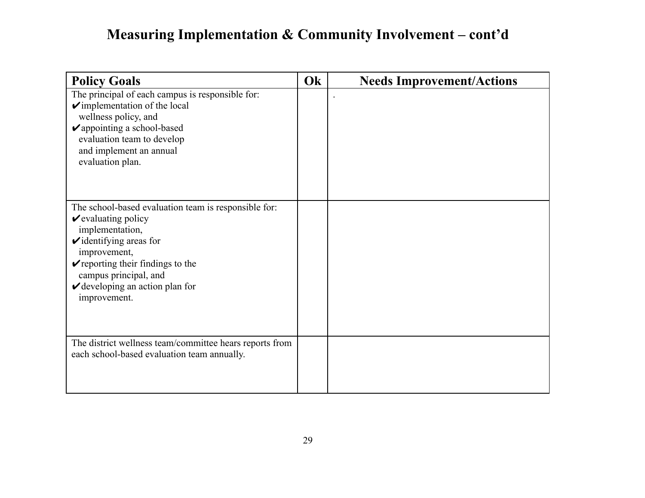# **Measuring Implementation & Community Involvement – cont'd**

| <b>Policy Goals</b>                                                                                                                                                                                                                                                                                      | Ok | <b>Needs Improvement/Actions</b> |
|----------------------------------------------------------------------------------------------------------------------------------------------------------------------------------------------------------------------------------------------------------------------------------------------------------|----|----------------------------------|
| The principal of each campus is responsible for:<br>$\checkmark$ implementation of the local<br>wellness policy, and<br>$\triangleright$ appointing a school-based<br>evaluation team to develop<br>and implement an annual<br>evaluation plan.                                                          |    |                                  |
| The school-based evaluation team is responsible for:<br>$\vee$ evaluating policy<br>implementation,<br>$\triangleright$ identifying areas for<br>improvement,<br>$\triangleright$ reporting their findings to the<br>campus principal, and<br>$\checkmark$ developing an action plan for<br>improvement. |    |                                  |
| The district wellness team/committee hears reports from<br>each school-based evaluation team annually.                                                                                                                                                                                                   |    |                                  |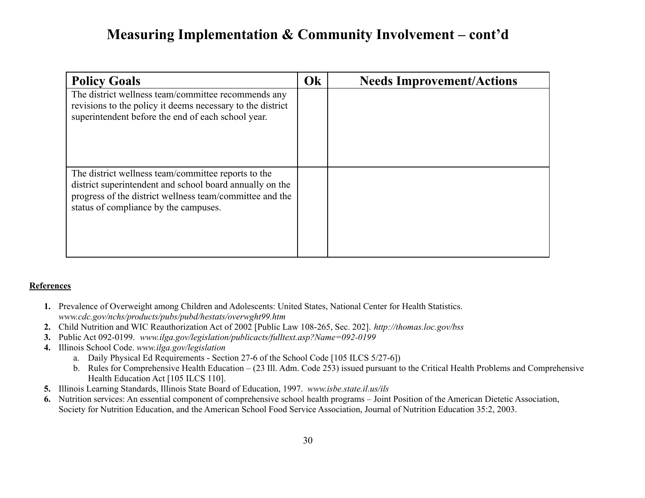### **Measuring Implementation & Community Involvement – cont'd**

| <b>Policy Goals</b>                                                                                                                                                                                                  | Ok | <b>Needs Improvement/Actions</b> |
|----------------------------------------------------------------------------------------------------------------------------------------------------------------------------------------------------------------------|----|----------------------------------|
| The district wellness team/committee recommends any<br>revisions to the policy it deems necessary to the district<br>superintendent before the end of each school year.                                              |    |                                  |
| The district wellness team/committee reports to the<br>district superintendent and school board annually on the<br>progress of the district wellness team/committee and the<br>status of compliance by the campuses. |    |                                  |

#### **References**

- **1.** Prevalence of Overweight among Children and Adolescents: United States, National Center for Health Statistics. *www.cdc.gov/nchs/products/pubs/pubd/hestats/overwght99.htm*
- **2.** Child Nutrition and WIC Reauthorization Act of 2002 [Public Law 108-265, Sec. 202]. *[http://thomas.loc.gov/bss](http://thomas.loc.gov/bss/d108laws.html)*
- **3.** Public Act 092-0199. *www.ilga.gov/legislation/publicacts/fulltext.asp?Name=092-0199*
- **4.** Illinois School Code. *www.ilga.gov/legislation*
	- a. Daily Physical Ed Requirements Section 27-6 of the School Code [105 ILCS 5/27-6])
	- b. Rules for Comprehensive Health Education (23 Ill. Adm. Code 253) issued pursuant to the Critical Health Problems and Comprehensive Health Education Act [105 ILCS 110].
- **5.** Illinois Learning Standards, Illinois State Board of Education, 1997. *www.isbe.state.il.us/ils*
- **6.** Nutrition services: An essential component of comprehensive school health programs Joint Position of the American Dietetic Association, Society for Nutrition Education, and the American School Food Service Association, Journal of Nutrition Education 35:2, 2003.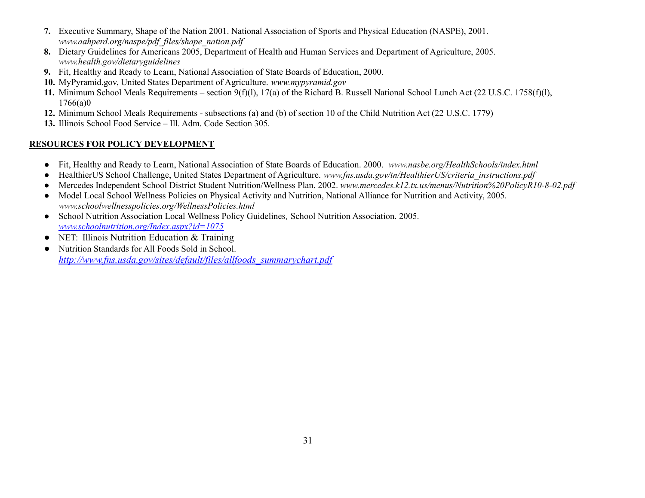- **7.** Executive Summary, Shape of the Nation 2001. National Association of Sports and Physical Education (NASPE), 2001. *www.aahperd.org/naspe/pdf\_files/shape\_nation.pdf*
- **8.** Dietary Guidelines for Americans 2005, Department of Health and Human Services and Department of Agriculture, 2005. *www.health.gov/dietaryguidelines*
- **9.** Fit, Healthy and Ready to Learn, National Association of State Boards of Education, 2000.
- **10.** MyPyramid.gov, United States Department of Agriculture. *[www.mypyramid.gov](http://www.mypyramid.gov)*
- **11.** Minimum School Meals Requirements section 9(f)(l), 17(a) of the Richard B. Russell National School Lunch Act (22 U.S.C. 1758(f)(l), 1766(a)0
- **12.** Minimum School Meals Requirements subsections (a) and (b) of section 10 of the Child Nutrition Act (22 U.S.C. 1779)
- **13.** Illinois School Food Service Ill. Adm. Code Section 305.

#### **RESOURCES FOR POLICY DEVELOPMENT**

- **●** Fit, Healthy and Ready to Learn, National Association of State Boards of Education. 2000. *www.nasbe.org/HealthSchools/index.html*
- **●** HealthierUS School Challenge, United States Department of Agriculture. *[www.fns.usda.gov/tn/HealthierUS/criteria\\_instructions.pdf](http://www.fns.usda.gov/tn/HealthierUS/criteria_instructions.pdf)*
- *●* Mercedes Independent School District Student Nutrition/Wellness Plan. 2002. *www.mercedes.k12.tx.us/menus/Nutrition%20PolicyR10-8-02.pdf*
- **●** Model Local School Wellness Policies on Physical Activity and Nutrition, National Alliance for Nutrition and Activity, 2005. *www.schoolwellnesspolicies.org/WellnessPolicies.html*
- School Nutrition Association Local Wellness Policy Guidelines*,* School Nutrition Association. 2005. *[www.schoolnutrition.org/Index.aspx?id=1075](http://www.schoolnutrition.org/Index.aspx?id=1075)*
- NET: Illinois Nutrition Education & Training
- Nutrition Standards for All Foods Sold in School. *[http://www.fns.usda.gov/sites/default/files/allfoods\\_summarychart.pdf](http://www.fns.usda.gov/sites/default/files/allfoods_summarychart.pdf)*